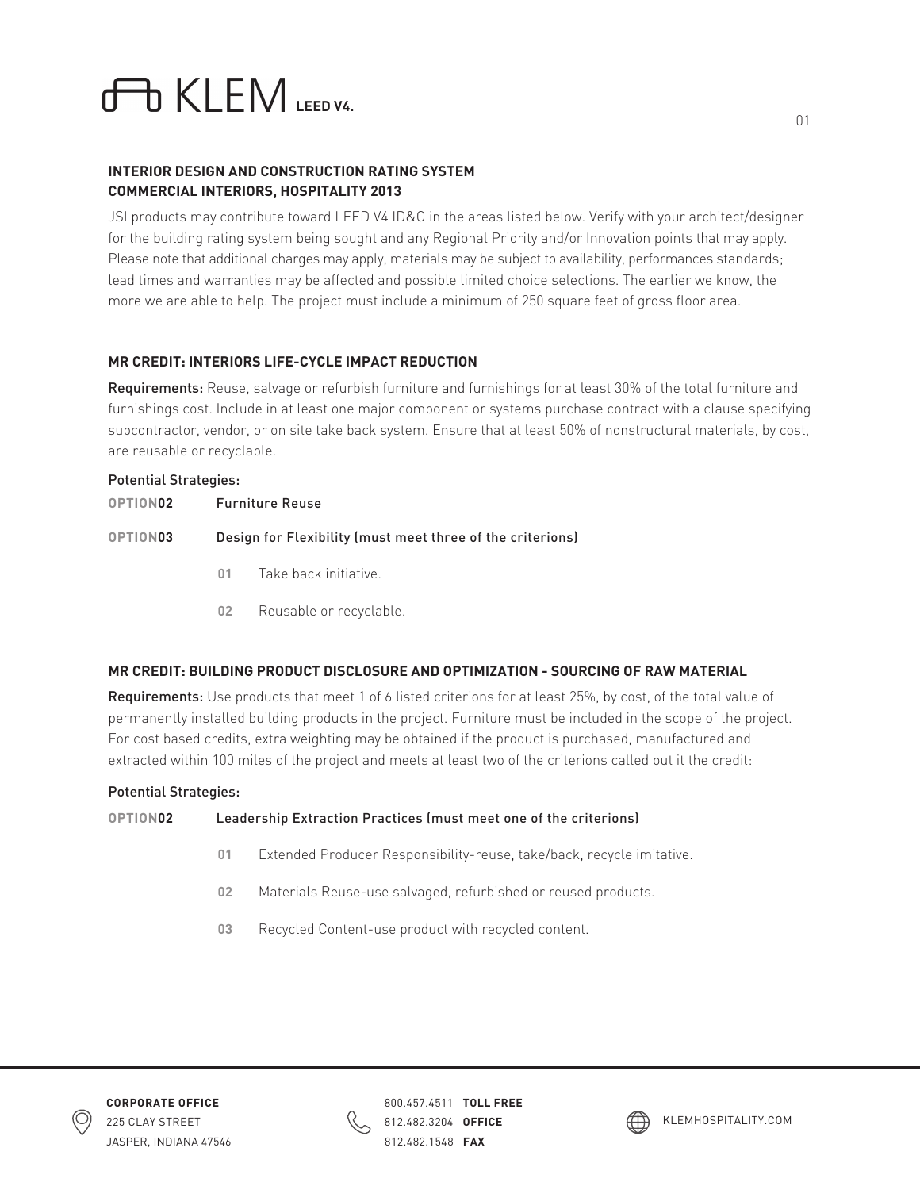# **LEM**

# **INTERIOR DESIGN AND CONSTRUCTION RATING SYSTEM COMMERCIAL INTERIORS, HOSPITALITY 2013**

JSI products may contribute toward LEED V4 ID&C in the areas listed below. Verify with your architect/designer for the building rating system being sought and any Regional Priority and/or Innovation points that may apply. Please note that additional charges may apply, materials may be subject to availability, performances standards; lead times and warranties may be affected and possible limited choice selections. The earlier we know, the more we are able to help. The project must include a minimum of 250 square feet of gross floor area.

# **MR CREDIT: INTERIORS LIFE-CYCLE IMPACT REDUCTION**

Requirements: Reuse, salvage or refurbish furniture and furnishings for at least 30% of the total furniture and furnishings cost. Include in at least one major component or systems purchase contract with a clause specifying subcontractor, vendor, or on site take back system. Ensure that at least 50% of nonstructural materials, by cost, are reusable or recyclable.

# Potential Strategies: **OPTION02** Furniture Reuse **OPTION03** Design for Flexibility (must meet three of the criterions) **01** Take back initiative.

**02** Reusable or recyclable.

# **MR CREDIT: BUILDING PRODUCT DISCLOSURE AND OPTIMIZATION - SOURCING OF RAW MATERIAL**

Requirements: Use products that meet 1 of 6 listed criterions for at least 25%, by cost, of the total value of permanently installed building products in the project. Furniture must be included in the scope of the project. For cost based credits, extra weighting may be obtained if the product is purchased, manufactured and extracted within 100 miles of the project and meets at least two of the criterions called out it the credit:

### Potential Strategies:

### **OPTION02** Leadership Extraction Practices (must meet one of the criterions)

- **01** Extended Producer Responsibility-reuse, take/back, recycle imitative.
- **02** Materials Reuse-use salvaged, refurbished or reused products.
- **03** Recycled Content-use product with recycled content.